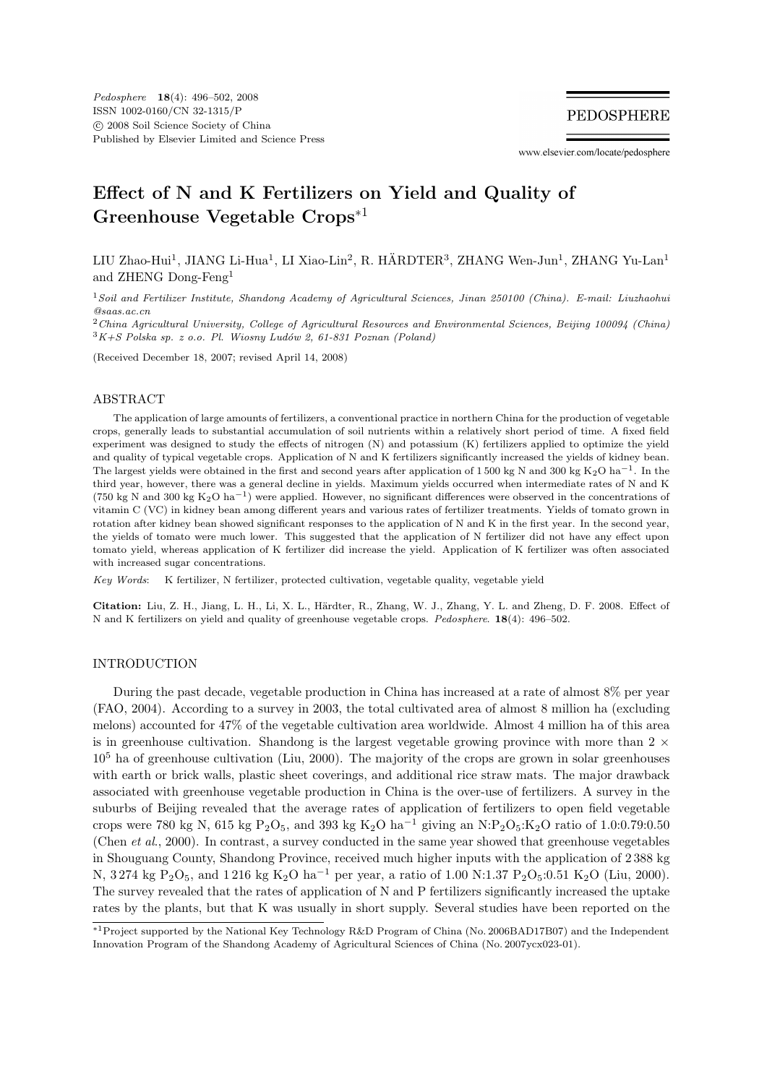**PEDOSPHERE** 

www.elsevier.com/locate/pedosphere

## **Effect of N and K Fertilizers on Yield and Quality of Greenhouse Vegetable Crops**∗<sup>1</sup>

LIU Zhao-Hui<sup>1</sup>, JIANG Li-Hua<sup>1</sup>, LI Xiao-Lin<sup>2</sup>, R. HÄRDTER<sup>3</sup>, ZHANG Wen-Jun<sup>1</sup>, ZHANG Yu-Lan<sup>1</sup> and ZHENG Dong-Feng<sup>1</sup>

<sup>1</sup>Soil and Fertilizer Institute, Shandong Academy of Agricultural Sciences, Jinan 250100 (China). E-mail: Liuzhaohui @saas.ac.cn

<sup>2</sup>China Agricultural University, College of Agricultural Resources and Environmental Sciences, Beijing 100094 (China)  $3K+S$  Polska sp. z o.o. Pl. Wiosny Ludów 2, 61-831 Poznan (Poland)

(Received December 18, 2007; revised April 14, 2008)

#### ABSTRACT

The application of large amounts of fertilizers, a conventional practice in northern China for the production of vegetable crops, generally leads to substantial accumulation of soil nutrients within a relatively short period of time. A fixed field experiment was designed to study the effects of nitrogen (N) and potassium (K) fertilizers applied to optimize the yield and quality of typical vegetable crops. Application of N and K fertilizers significantly increased the yields of kidney bean. The largest yields were obtained in the first and second years after application of 1500 kg N and 300 kg K<sub>2</sub>O ha<sup>-1</sup>. In the third year, however, there was a general decline in yields. Maximum yields occurred when intermediate rates of N and K (750 kg N and 300 kg K<sub>2</sub>O ha<sup>-1</sup>) were applied. However, no significant differences were observed in the concentrations of vitamin C (VC) in kidney bean among different years and various rates of fertilizer treatments. Yields of tomato grown in rotation after kidney bean showed significant responses to the application of N and K in the first year. In the second year, the yields of tomato were much lower. This suggested that the application of N fertilizer did not have any effect upon tomato yield, whereas application of K fertilizer did increase the yield. Application of K fertilizer was often associated with increased sugar concentrations.

Key Words: K fertilizer, N fertilizer, protected cultivation, vegetable quality, vegetable yield

Citation: Liu, Z. H., Jiang, L. H., Li, X. L., Härdter, R., Zhang, W. J., Zhang, Y. L. and Zheng, D. F. 2008. Effect of N and K fertilizers on yield and quality of greenhouse vegetable crops. Pedosphere. **18**(4): 496–502.

#### INTRODUCTION

During the past decade, vegetable production in China has increased at a rate of almost 8% per year (FAO, 2004). According to a survey in 2003, the total cultivated area of almost 8 million ha (excluding melons) accounted for 47% of the vegetable cultivation area worldwide. Almost 4 million ha of this area is in greenhouse cultivation. Shandong is the largest vegetable growing province with more than  $2 \times$ 10<sup>5</sup> ha of greenhouse cultivation (Liu, 2000). The majority of the crops are grown in solar greenhouses with earth or brick walls, plastic sheet coverings, and additional rice straw mats. The major drawback associated with greenhouse vegetable production in China is the over-use of fertilizers. A survey in the suburbs of Beijing revealed that the average rates of application of fertilizers to open field vegetable crops were 780 kg N, 615 kg P<sub>2</sub>O<sub>5</sub>, and 393 kg K<sub>2</sub>O ha<sup>-1</sup> giving an N:P<sub>2</sub>O<sub>5</sub>:K<sub>2</sub>O ratio of 1.0:0.79:0.50 (Chen et al., 2000). In contrast, a survey conducted in the same year showed that greenhouse vegetables in Shouguang County, Shandong Province, received much higher inputs with the application of 2 388 kg N, 3 274 kg P<sub>2</sub>O<sub>5</sub>, and 1 216 kg K<sub>2</sub>O ha<sup>-1</sup> per year, a ratio of 1.00 N:1.37 P<sub>2</sub>O<sub>5</sub>:0.51 K<sub>2</sub>O (Liu, 2000). The survey revealed that the rates of application of N and P fertilizers significantly increased the uptake rates by the plants, but that K was usually in short supply. Several studies have been reported on the

<sup>∗</sup>1Project supported by the National Key Technology R&D Program of China (No. 2006BAD17B07) and the Independent Innovation Program of the Shandong Academy of Agricultural Sciences of China (No. 2007ycx023-01).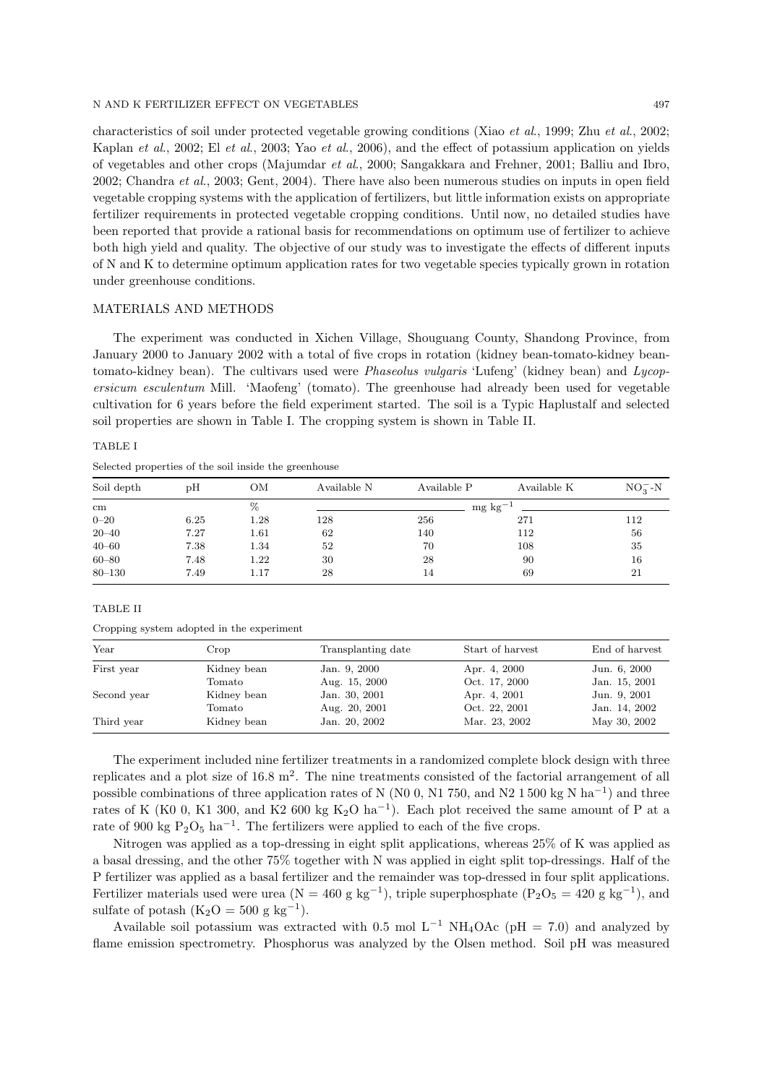#### N AND K FERTILIZER EFFECT ON VEGETABLES 497

characteristics of soil under protected vegetable growing conditions (Xiao et al., 1999; Zhu et al., 2002; Kaplan et al., 2002; El et al., 2003; Yao et al., 2006), and the effect of potassium application on yields of vegetables and other crops (Majumdar et al., 2000; Sangakkara and Frehner, 2001; Balliu and Ibro, 2002; Chandra et al., 2003; Gent, 2004). There have also been numerous studies on inputs in open field vegetable cropping systems with the application of fertilizers, but little information exists on appropriate fertilizer requirements in protected vegetable cropping conditions. Until now, no detailed studies have been reported that provide a rational basis for recommendations on optimum use of fertilizer to achieve both high yield and quality. The objective of our study was to investigate the effects of different inputs of N and K to determine optimum application rates for two vegetable species typically grown in rotation under greenhouse conditions.

#### MATERIALS AND METHODS

The experiment was conducted in Xichen Village, Shouguang County, Shandong Province, from January 2000 to January 2002 with a total of five crops in rotation (kidney bean-tomato-kidney beantomato-kidney bean). The cultivars used were *Phaseolus vulgaris* 'Lufeng' (kidney bean) and Lycopersicum esculentum Mill. 'Maofeng' (tomato). The greenhouse had already been used for vegetable cultivation for 6 years before the field experiment started. The soil is a Typic Haplustalf and selected soil properties are shown in Table I. The cropping system is shown in Table II.

### TABLE I

Selected properties of the soil inside the greenhouse

| Soil depth      | pН   | ΟМ       | Available N          | Available P | Available K | $NO_3^-$ -N |
|-----------------|------|----------|----------------------|-------------|-------------|-------------|
| $\,\mathrm{cm}$ |      | %        | $mg \text{ kg}^{-1}$ |             |             |             |
| $0 - 20$        | 6.25 | 1.28     | 128                  | 256         | 271         | 112         |
| $20 - 40$       | 7.27 | 1.61     | 62                   | 140         | 112         | 56          |
| $40 - 60$       | 7.38 | 1.34     | 52                   | 70          | 108         | 35          |
| $60 - 80$       | 7.48 | $1.22\,$ | 30                   | 28          | 90          | 16          |
| $80 - 130$      | 7.49 | 1.17     | 28                   | 14          | 69          | 21          |

#### TABLE II

Cropping system adopted in the experiment

| Year        | Crop        | Transplanting date | Start of harvest | End of harvest |
|-------------|-------------|--------------------|------------------|----------------|
| First year  | Kidney bean | Jan. 9, 2000       | Apr. 4, 2000     | Jun. 6, 2000   |
|             | Tomato      | Aug. 15, 2000      | Oct. 17, 2000    | Jan. 15, 2001  |
| Second year | Kidney bean | Jan. 30, 2001      | Apr. 4, 2001     | Jun. 9, 2001   |
|             | Tomato      | Aug. 20, 2001      | Oct. 22, 2001    | Jan. 14, 2002  |
| Third year  | Kidney bean | Jan. 20, 2002      | Mar. 23, 2002    | May 30, 2002   |

The experiment included nine fertilizer treatments in a randomized complete block design with three replicates and a plot size of 16.8  $\text{m}^2$ . The nine treatments consisted of the factorial arrangement of all possible combinations of three application rates of N (N0 0, N1 750, and N2 1 500 kg N ha<sup>-1</sup>) and three rates of K (K0 0, K1 300, and K2 600 kg K<sub>2</sub>O ha<sup>-1</sup>). Each plot received the same amount of P at a rate of 900 kg  $P_2O_5$  ha<sup>-1</sup>. The fertilizers were applied to each of the five crops.

Nitrogen was applied as a top-dressing in eight split applications, whereas 25% of K was applied as a basal dressing, and the other 75% together with N was applied in eight split top-dressings. Half of the P fertilizer was applied as a basal fertilizer and the remainder was top-dressed in four split applications. Fertilizer materials used were urea ( $N = 460$  g kg<sup>-1</sup>), triple superphosphate (P<sub>2</sub>O<sub>5</sub> = 420 g kg<sup>-1</sup>), and sulfate of potash  $(K_2O = 500 g kg^{-1})$ .

Available soil potassium was extracted with 0.5 mol L<sup>-1</sup> NH<sub>4</sub>OAc (pH = 7.0) and analyzed by flame emission spectrometry. Phosphorus was analyzed by the Olsen method. Soil pH was measured